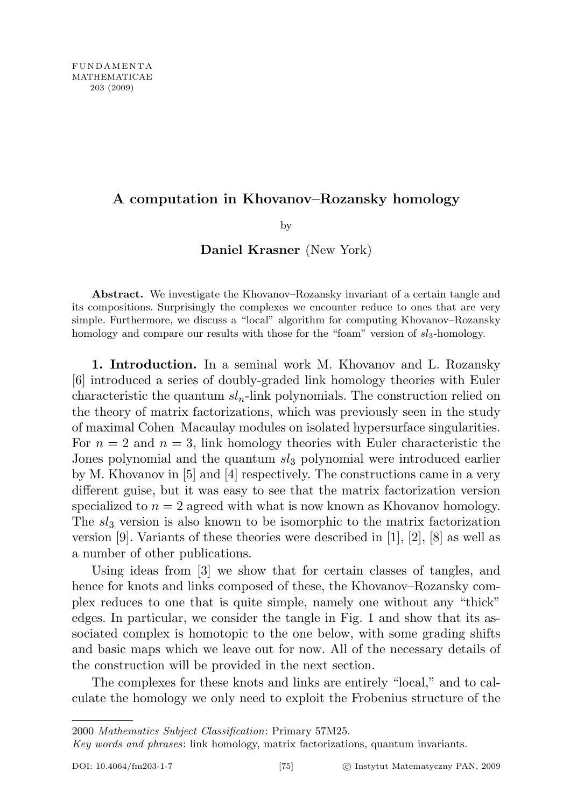# A computation in Khovanov–Rozansky homology

by

Daniel Krasner (New York)

Abstract. We investigate the Khovanov–Rozansky invariant of a certain tangle and its compositions. Surprisingly the complexes we encounter reduce to ones that are very simple. Furthermore, we discuss a "local" algorithm for computing Khovanov–Rozansky homology and compare our results with those for the "foam" version of  $sl_3$ -homology.

1. Introduction. In a seminal work M. Khovanov and L. Rozansky [6] introduced a series of doubly-graded link homology theories with Euler characteristic the quantum  $sl_n$ -link polynomials. The construction relied on the theory of matrix factorizations, which was previously seen in the study of maximal Cohen–Macaulay modules on isolated hypersurface singularities. For  $n = 2$  and  $n = 3$ , link homology theories with Euler characteristic the Jones polynomial and the quantum  $sl_3$  polynomial were introduced earlier by M. Khovanov in [5] and [4] respectively. The constructions came in a very different guise, but it was easy to see that the matrix factorization version specialized to  $n = 2$  agreed with what is now known as Khovanov homology. The  $sl_3$  version is also known to be isomorphic to the matrix factorization version [9]. Variants of these theories were described in [1], [2], [8] as well as a number of other publications.

Using ideas from [3] we show that for certain classes of tangles, and hence for knots and links composed of these, the Khovanov–Rozansky complex reduces to one that is quite simple, namely one without any "thick" edges. In particular, we consider the tangle in Fig. 1 and show that its associated complex is homotopic to the one below, with some grading shifts and basic maps which we leave out for now. All of the necessary details of the construction will be provided in the next section.

The complexes for these knots and links are entirely "local," and to calculate the homology we only need to exploit the Frobenius structure of the

2000 Mathematics Subject Classification: Primary 57M25.

Key words and phrases: link homology, matrix factorizations, quantum invariants.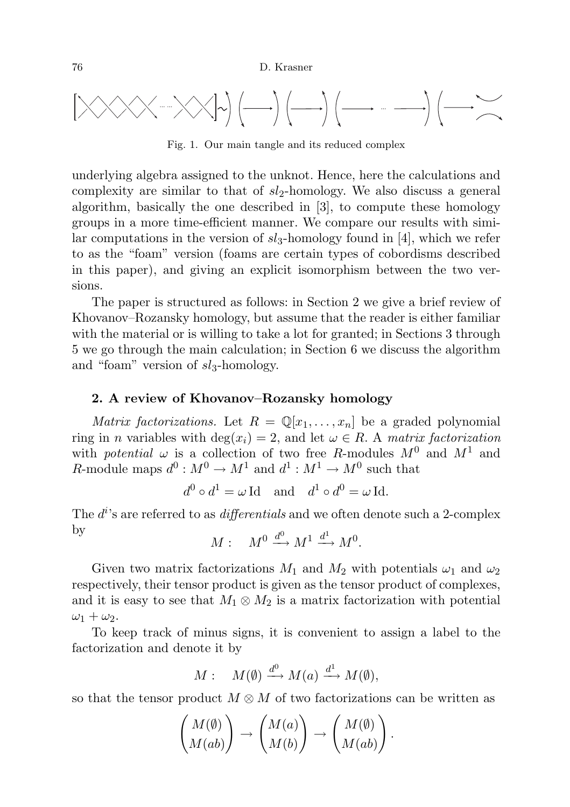

Fig. 1. Our main tangle and its reduced complex

underlying algebra assigned to the unknot. Hence, here the calculations and complexity are similar to that of  $sl_2$ -homology. We also discuss a general algorithm, basically the one described in [3], to compute these homology groups in a more time-efficient manner. We compare our results with similar computations in the version of  $sl_3$ -homology found in [4], which we refer to as the "foam" version (foams are certain types of cobordisms described in this paper), and giving an explicit isomorphism between the two versions.

The paper is structured as follows: in Section 2 we give a brief review of Khovanov–Rozansky homology, but assume that the reader is either familiar with the material or is willing to take a lot for granted; in Sections 3 through 5 we go through the main calculation; in Section 6 we discuss the algorithm and "foam" version of  $sl_3$ -homology.

## 2. A review of Khovanov–Rozansky homology

*Matrix factorizations.* Let  $R = \mathbb{Q}[x_1, \ldots, x_n]$  be a graded polynomial ring in *n* variables with deg( $x_i$ ) = 2, and let  $\omega \in R$ . A matrix factorization with potential  $\omega$  is a collection of two free R-modules  $M^0$  and  $M^1$  and *R*-module maps  $d^0: M^0 \to M^1$  and  $d^1: M^1 \to M^0$  such that

$$
d^0 \circ d^1 = \omega \operatorname{Id} \text{ and } d^1 \circ d^0 = \omega \operatorname{Id}.
$$

The  $d^{i}$ 's are referred to as *differentials* and we often denote such a 2-complex by  $\mathbf{0}$ 1

$$
M: M^0 \xrightarrow{d^0} M^1 \xrightarrow{d^1} M^0.
$$

Given two matrix factorizations  $M_1$  and  $M_2$  with potentials  $\omega_1$  and  $\omega_2$ respectively, their tensor product is given as the tensor product of complexes, and it is easy to see that  $M_1 \otimes M_2$  is a matrix factorization with potential  $\omega_1 + \omega_2$ .

To keep track of minus signs, it is convenient to assign a label to the factorization and denote it by

$$
M: M(\emptyset) \xrightarrow{d^0} M(a) \xrightarrow{d^1} M(\emptyset),
$$

so that the tensor product  $M \otimes M$  of two factorizations can be written as

$$
\begin{pmatrix} M(\emptyset) \\ M(ab) \end{pmatrix} \rightarrow \begin{pmatrix} M(a) \\ M(b) \end{pmatrix} \rightarrow \begin{pmatrix} M(\emptyset) \\ M(ab) \end{pmatrix}
$$

.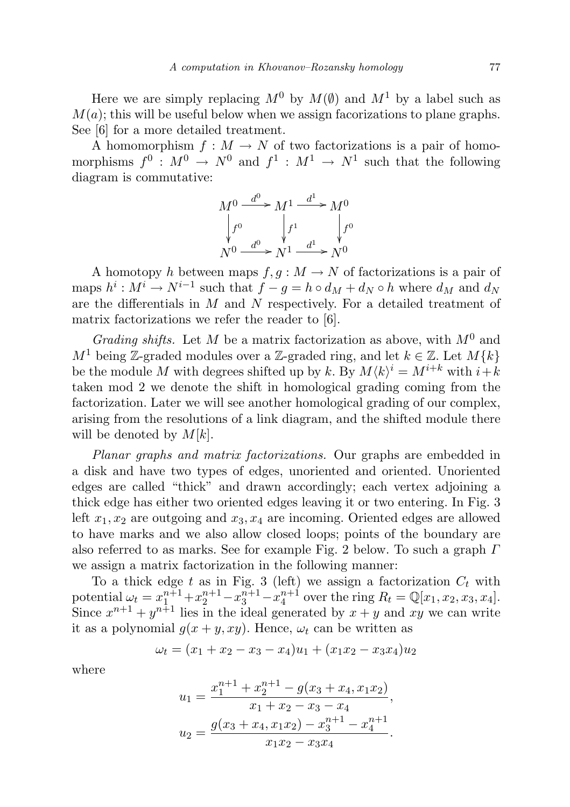Here we are simply replacing  $M^0$  by  $M(\emptyset)$  and  $M^1$  by a label such as  $M(a)$ ; this will be useful below when we assign facorizations to plane graphs. See [6] for a more detailed treatment.

A homomorphism  $f : M \to N$  of two factorizations is a pair of homomorphisms  $f^0: M^0 \to N^0$  and  $f^1: M^1 \to N^1$  such that the following diagram is commutative:

$$
M^0 \xrightarrow{d^0} M^1 \xrightarrow{d^1} M^0
$$
  

$$
\downarrow f^0 \qquad \downarrow f^1 \qquad \downarrow f^0
$$
  

$$
N^0 \xrightarrow{d^0} N^1 \xrightarrow{d^1} N^0
$$

A homotopy h between maps  $f, g: M \to N$  of factorizations is a pair of maps  $h^i: M^i \to N^{i-1}$  such that  $f - g = h \circ d_M + d_N \circ h$  where  $d_M$  and  $d_N$ are the differentials in  $M$  and  $N$  respectively. For a detailed treatment of matrix factorizations we refer the reader to [6].

Grading shifts. Let M be a matrix factorization as above, with  $M^0$  and  $M<sup>1</sup>$  being Z-graded modules over a Z-graded ring, and let  $k \in \mathbb{Z}$ . Let  $M\{k\}$ be the module M with degrees shifted up by k. By  $M \langle k \rangle^i = M^{i+k}$  with  $i+k$ taken mod 2 we denote the shift in homological grading coming from the factorization. Later we will see another homological grading of our complex, arising from the resolutions of a link diagram, and the shifted module there will be denoted by  $M[k]$ .

Planar graphs and matrix factorizations. Our graphs are embedded in a disk and have two types of edges, unoriented and oriented. Unoriented edges are called "thick" and drawn accordingly; each vertex adjoining a thick edge has either two oriented edges leaving it or two entering. In Fig. 3 left  $x_1, x_2$  are outgoing and  $x_3, x_4$  are incoming. Oriented edges are allowed to have marks and we also allow closed loops; points of the boundary are also referred to as marks. See for example Fig. 2 below. To such a graph Γ we assign a matrix factorization in the following manner:

To a thick edge t as in Fig. 3 (left) we assign a factorization  $C_t$  with potential  $\omega_t = x_1^{n+1} + x_2^{n+1} - x_3^{n+1} - x_4^{n+1}$  over the ring  $R_t = \mathbb{Q}[x_1, x_2, x_3, x_4]$ . Since  $x^{n+1} + y^{n+1}$  lies in the ideal generated by  $x + y$  and xy we can write it as a polynomial  $g(x + y, xy)$ . Hence,  $\omega_t$  can be written as

$$
\omega_t = (x_1 + x_2 - x_3 - x_4)u_1 + (x_1x_2 - x_3x_4)u_2
$$

where

$$
u_1 = \frac{x_1^{n+1} + x_2^{n+1} - g(x_3 + x_4, x_1x_2)}{x_1 + x_2 - x_3 - x_4},
$$
  

$$
u_2 = \frac{g(x_3 + x_4, x_1x_2) - x_3^{n+1} - x_4^{n+1}}{x_1x_2 - x_3x_4}.
$$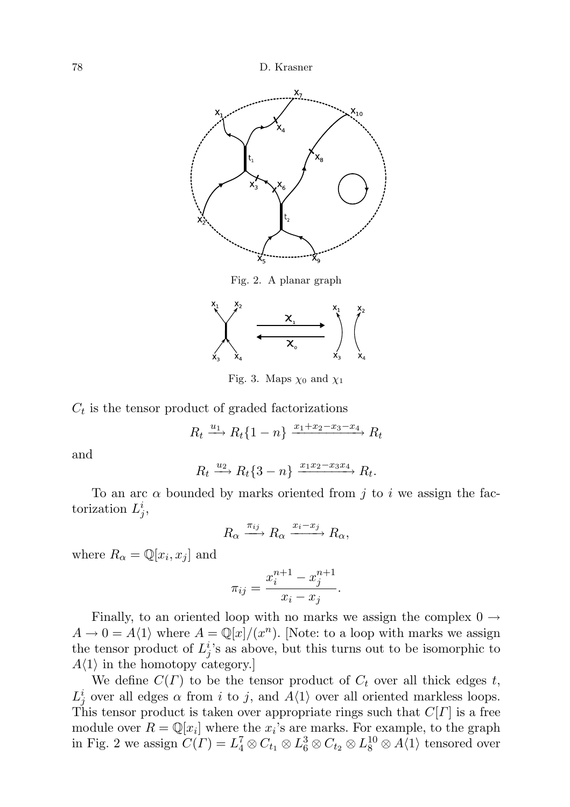

Fig. 2. A planar graph



Fig. 3. Maps  $\chi_0$  and  $\chi_1$ 

 $C_t$  is the tensor product of graded factorizations

$$
R_t \xrightarrow{u_1} R_t \{1 - n\} \xrightarrow{x_1 + x_2 - x_3 - x_4} R_t
$$

and

$$
R_t \xrightarrow{u_2} R_t \{3 - n\} \xrightarrow{x_1 x_2 - x_3 x_4} R_t.
$$

To an arc  $\alpha$  bounded by marks oriented from j to i we assign the factorization  $L_j^i$ ,

$$
R_{\alpha} \xrightarrow{\pi_{ij}} R_{\alpha} \xrightarrow{x_i - x_j} R_{\alpha},
$$

where  $R_{\alpha} = \mathbb{Q}[x_i, x_j]$  and

$$
\pi_{ij} = \frac{x_i^{n+1} - x_j^{n+1}}{x_i - x_j}.
$$

Finally, to an oriented loop with no marks we assign the complex  $0 \rightarrow$  $A \to 0 = A(1)$  where  $A = \mathbb{Q}[x]/(x^n)$ . [Note: to a loop with marks we assign the tensor product of  $L_j^i$ 's as above, but this turns out to be isomorphic to  $A\langle 1 \rangle$  in the homotopy category.

We define  $C(\Gamma)$  to be the tensor product of  $C_t$  over all thick edges t,  $L_j^i$  over all edges  $\alpha$  from i to j, and  $A\langle 1\rangle$  over all oriented markless loops. This tensor product is taken over appropriate rings such that  $C[\Gamma]$  is a free module over  $R = \mathbb{Q}[x_i]$  where the  $x_i$ 's are marks. For example, to the graph in Fig. 2 we assign  $C(\Gamma) = L_4^7 \otimes C_{t_1} \otimes L_6^3 \otimes C_{t_2} \otimes L_8^{10} \otimes A\langle 1 \rangle$  tensored over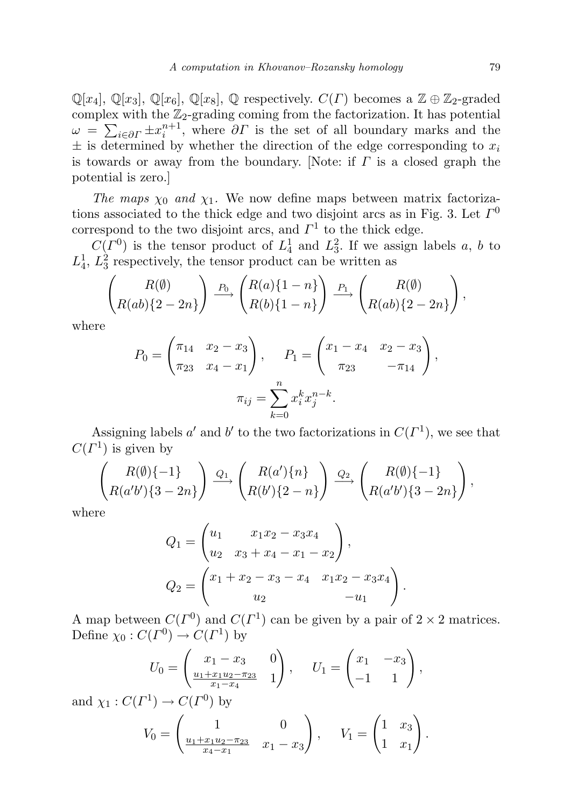$\mathbb{Q}[x_4], \mathbb{Q}[x_3], \mathbb{Q}[x_6], \mathbb{Q}[x_8], \mathbb{Q}$  respectively.  $C(\Gamma)$  becomes a  $\mathbb{Z} \oplus \mathbb{Z}_2$ -graded complex with the  $\mathbb{Z}_2$ -grading coming from the factorization. It has potential  $\omega = \sum_{i \in \partial \Gamma} \pm x_i^{n+1}$ , where  $\partial \Gamma$  is the set of all boundary marks and the  $\pm$  is determined by whether the direction of the edge corresponding to  $x_i$ is towards or away from the boundary. [Note: if  $\Gamma$  is a closed graph the potential is zero.]

The maps  $\chi_0$  and  $\chi_1$ . We now define maps between matrix factorizations associated to the thick edge and two disjoint arcs as in Fig. 3. Let  $\Gamma^0$ correspond to the two disjoint arcs, and  $\Gamma^1$  to the thick edge.

 $C(\Gamma^0)$  is the tensor product of  $L_4^1$  and  $L_3^2$ . If we assign labels a, b to  $L_4^1$ ,  $L_3^2$  respectively, the tensor product can be written as

$$
\begin{pmatrix} R(\emptyset) \\ R(ab)\{2-2n\} \end{pmatrix} \xrightarrow{P_0} \begin{pmatrix} R(a)\{1-n\} \\ R(b)\{1-n\} \end{pmatrix} \xrightarrow{P_1} \begin{pmatrix} R(\emptyset) \\ R(ab)\{2-2n\} \end{pmatrix},
$$

where

$$
P_0 = \begin{pmatrix} \pi_{14} & x_2 - x_3 \\ \pi_{23} & x_4 - x_1 \end{pmatrix}, \quad P_1 = \begin{pmatrix} x_1 - x_4 & x_2 - x_3 \\ \pi_{23} & -\pi_{14} \end{pmatrix},
$$

$$
\pi_{ij} = \sum_{k=0}^n x_i^k x_j^{n-k}.
$$

Assigning labels a' and b' to the two factorizations in  $C(\Gamma^1)$ , we see that  $C(\Gamma^1)$  is given by

$$
\begin{pmatrix} R(\emptyset)\{-1\} \\ R(a'b')\{3-2n\} \end{pmatrix} \xrightarrow{Q_1} \begin{pmatrix} R(a')\{n\} \\ R(b')\{2-n\} \end{pmatrix} \xrightarrow{Q_2} \begin{pmatrix} R(\emptyset)\{-1\} \\ R(a'b')\{3-2n\} \end{pmatrix},
$$

where

$$
Q_1 = \begin{pmatrix} u_1 & x_1x_2 - x_3x_4 \\ u_2 & x_3 + x_4 - x_1 - x_2 \end{pmatrix},
$$
  
\n
$$
Q_2 = \begin{pmatrix} x_1 + x_2 - x_3 - x_4 & x_1x_2 - x_3x_4 \\ u_2 & -u_1 \end{pmatrix}.
$$

A map between  $C(\Gamma^0)$  and  $C(\Gamma^1)$  can be given by a pair of  $2 \times 2$  matrices. Define  $\chi_0: C(\Gamma^0) \to C(\Gamma^1)$  by

$$
U_0 = \begin{pmatrix} x_1 - x_3 & 0 \\ \frac{u_1 + x_1 u_2 - \pi_{23}}{x_1 - x_4} & 1 \end{pmatrix}, \quad U_1 = \begin{pmatrix} x_1 & -x_3 \\ -1 & 1 \end{pmatrix},
$$
  

$$
U_1 = \begin{pmatrix} 1 \\ -1 \end{pmatrix}
$$

and  $\chi_1: C(\Gamma^1) \to C(\Gamma^0)$  by

$$
V_0 = \begin{pmatrix} 1 & 0 \\ \frac{u_1 + x_1 u_2 - \pi_{23}}{x_4 - x_1} & x_1 - x_3 \end{pmatrix}, \quad V_1 = \begin{pmatrix} 1 & x_3 \\ 1 & x_1 \end{pmatrix}.
$$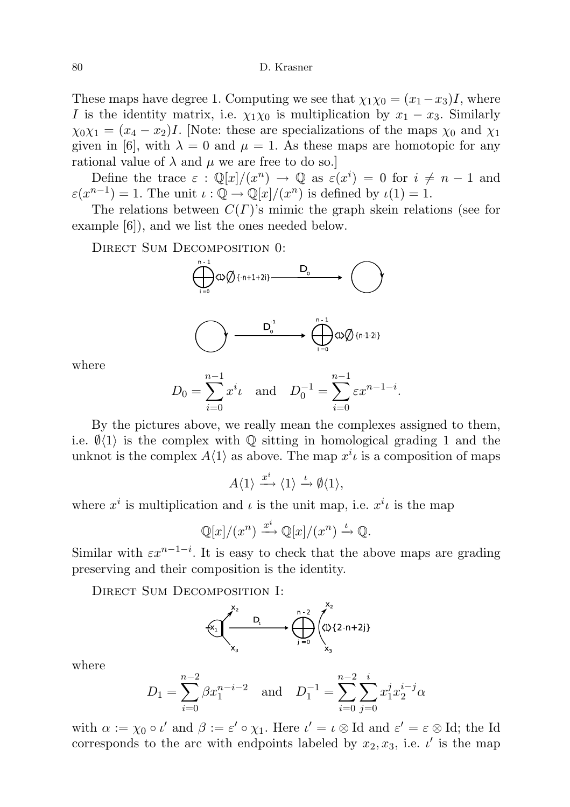These maps have degree 1. Computing we see that  $\chi_1\chi_0 = (x_1-x_3)I$ , where I is the identity matrix, i.e.  $\chi_1\chi_0$  is multiplication by  $x_1 - x_3$ . Similarly  $\chi_0 \chi_1 = (x_4 - x_2)I$ . [Note: these are specializations of the maps  $\chi_0$  and  $\chi_1$ given in [6], with  $\lambda = 0$  and  $\mu = 1$ . As these maps are homotopic for any rational value of  $\lambda$  and  $\mu$  we are free to do so.

Define the trace  $\varepsilon : \mathbb{Q}[x]/(x^n) \to \mathbb{Q}$  as  $\varepsilon(x^i) = 0$  for  $i \neq n-1$  and  $\varepsilon(x^{n-1}) = 1$ . The unit  $\iota : \mathbb{Q} \to \mathbb{Q}[x]/(x^n)$  is defined by  $\iota(1) = 1$ .

The relations between  $C(\Gamma)$ 's mimic the graph skein relations (see for example [6]), and we list the ones needed below.

DIRECT SUM DECOMPOSITION 0:





where

$$
D_0 = \sum_{i=0}^{n-1} x^i \iota
$$
 and  $D_0^{-1} = \sum_{i=0}^{n-1} \varepsilon x^{n-1-i}$ .

By the pictures above, we really mean the complexes assigned to them, i.e.  $\mathcal{O}(1)$  is the complex with Q sitting in homological grading 1 and the unknot is the complex  $A(1)$  as above. The map  $x^{i} \iota$  is a composition of maps

$$
A\langle 1 \rangle \xrightarrow{x^i} \langle 1 \rangle \xrightarrow{\iota} \emptyset \langle 1 \rangle,
$$

where  $x^i$  is multiplication and  $\iota$  is the unit map, i.e.  $x^i\iota$  is the map

$$
\mathbb{Q}[x]/(x^n) \xrightarrow{x^i} \mathbb{Q}[x]/(x^n) \xrightarrow{\iota} \mathbb{Q}.
$$

Similar with  $\varepsilon x^{n-1-i}$ . It is easy to check that the above maps are grading preserving and their composition is the identity.

DIRECT SUM DECOMPOSITION I:



where

$$
D_1 = \sum_{i=0}^{n-2} \beta x_1^{n-i-2} \quad \text{and} \quad D_1^{-1} = \sum_{i=0}^{n-2} \sum_{j=0}^{i} x_1^j x_2^{i-j} \alpha
$$

with  $\alpha := \chi_0 \circ \iota'$  and  $\beta := \varepsilon' \circ \chi_1$ . Here  $\iota' = \iota \otimes \mathrm{Id}$  and  $\varepsilon' = \varepsilon \otimes \mathrm{Id}$ ; the Id corresponds to the arc with endpoints labeled by  $x_2, x_3$ , i.e.  $\iota'$  is the map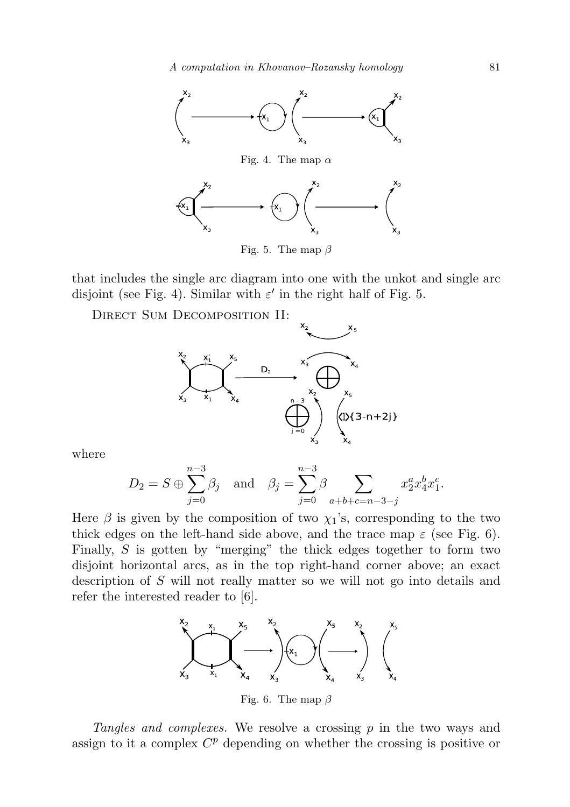

Fig. 5. The map  $\beta$ 

that includes the single arc diagram into one with the unkot and single arc disjoint (see Fig. 4). Similar with  $\varepsilon'$  in the right half of Fig. 5.

Direct Sum Decomposition II:



where

$$
D_2 = S \oplus \sum_{j=0}^{n-3} \beta_j
$$
 and  $\beta_j = \sum_{j=0}^{n-3} \beta \sum_{a+b+c=n-3-j} x_2^a x_4^b x_1^c$ .

Here  $\beta$  is given by the composition of two  $\chi_1$ 's, corresponding to the two thick edges on the left-hand side above, and the trace map  $\varepsilon$  (see Fig. 6). Finally, S is gotten by "merging" the thick edges together to form two disjoint horizontal arcs, as in the top right-hand corner above; an exact description of S will not really matter so we will not go into details and refer the interested reader to [6].



Fig. 6. The map  $\beta$ 

Tangles and complexes. We resolve a crossing p in the two ways and assign to it a complex  $C<sup>p</sup>$  depending on whether the crossing is positive or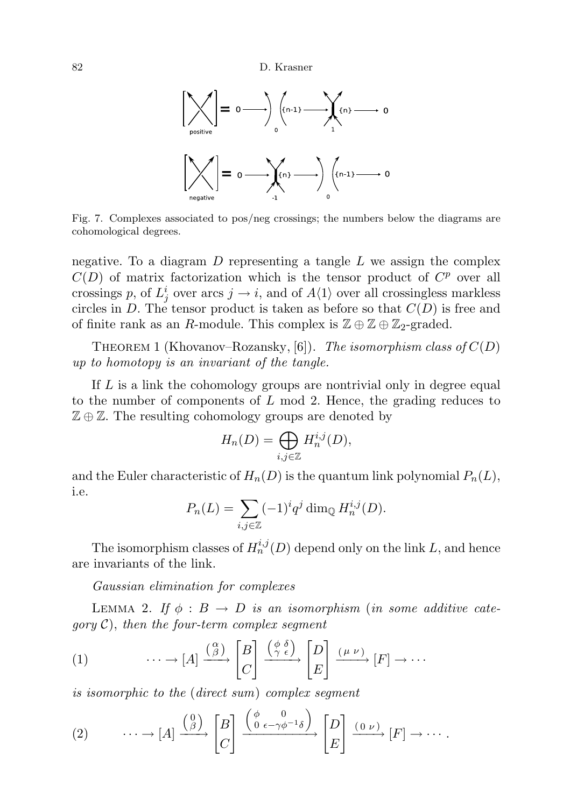

Fig. 7. Complexes associated to pos/neg crossings; the numbers below the diagrams are cohomological degrees.

negative. To a diagram  $D$  representing a tangle  $L$  we assign the complex  $C(D)$  of matrix factorization which is the tensor product of  $C<sup>p</sup>$  over all crossings p, of  $L_j^i$  over arcs  $j \to i$ , and of  $A\langle 1 \rangle$  over all crossingless markless circles in D. The tensor product is taken as before so that  $C(D)$  is free and of finite rank as an R-module. This complex is  $\mathbb{Z} \oplus \mathbb{Z} \oplus \mathbb{Z}_2$ -graded.

THEOREM 1 (Khovanov–Rozansky, [6]). The isomorphism class of  $C(D)$ up to homotopy is an invariant of the tangle.

If L is a link the cohomology groups are nontrivial only in degree equal to the number of components of  $L \mod 2$ . Hence, the grading reduces to  $\mathbb{Z} \oplus \mathbb{Z}$ . The resulting cohomology groups are denoted by

$$
H_n(D) = \bigoplus_{i,j \in \mathbb{Z}} H_n^{i,j}(D),
$$

and the Euler characteristic of  $H_n(D)$  is the quantum link polynomial  $P_n(L)$ , i.e.

$$
P_n(L) = \sum_{i,j \in \mathbb{Z}} (-1)^i q^j \dim_{\mathbb{Q}} H_n^{i,j}(D).
$$

The isomorphism classes of  $H_n^{i,j}(D)$  depend only on the link L, and hence are invariants of the link.

Gaussian elimination for complexes

LEMMA 2. If  $\phi : B \to D$  is an isomorphism (in some additive cate $qory C$ , then the four-term complex segment

(1) 
$$
\cdots \to [A] \xrightarrow{\binom{\alpha}{\beta}} \begin{bmatrix} B \\ C \end{bmatrix} \xrightarrow{\binom{\phi}{\gamma} \stackrel{\delta}{\epsilon}} \begin{bmatrix} D \\ E \end{bmatrix} \xrightarrow{(\mu \nu)} [F] \to \cdots
$$

is isomorphic to the (direct sum) complex segment

(2) 
$$
\cdots \to [A] \xrightarrow{\binom{0}{\beta}} \begin{bmatrix} B \\ C \end{bmatrix} \xrightarrow{\binom{\phi}{0} \underbrace{\binom{0}{0} \underbrace{\binom{0}{0} \nu}}_{\text{F}} \begin{bmatrix} D \\ E \end{bmatrix} \xrightarrow{\binom{0}{\nu}} [F] \to \cdots.
$$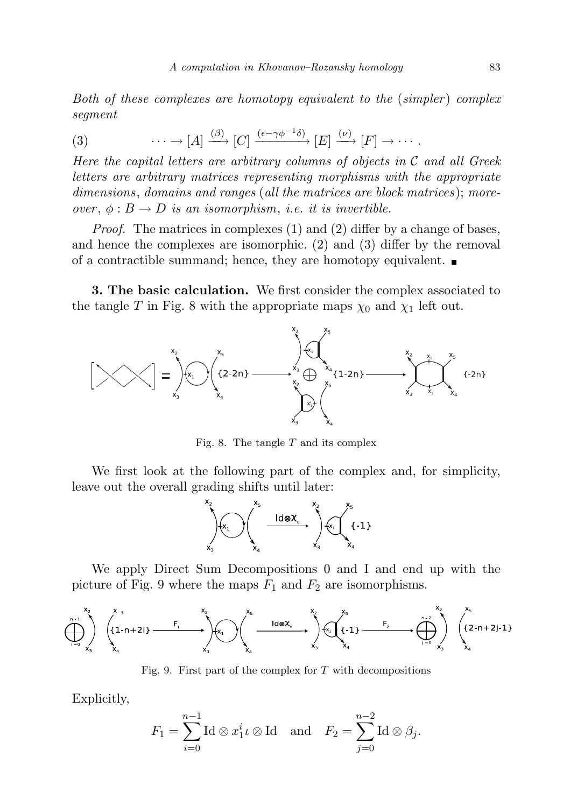Both of these complexes are homotopy equivalent to the (simpler) complex segment

(3) 
$$
\cdots \to [A] \xrightarrow{(\beta)} [C] \xrightarrow{(\epsilon - \gamma \phi^{-1} \delta)} [E] \xrightarrow{(\nu)} [F] \to \cdots.
$$

Here the capital letters are arbitrary columns of objects in  $\mathcal C$  and all Greek letters are arbitrary matrices representing morphisms with the appropriate dimensions, domains and ranges (all the matrices are block matrices); moreover,  $\phi : B \to D$  is an isomorphism, i.e. it is invertible.

Proof. The matrices in complexes (1) and (2) differ by a change of bases, and hence the complexes are isomorphic. (2) and (3) differ by the removal of a contractible summand; hence, they are homotopy equivalent.

3. The basic calculation. We first consider the complex associated to the tangle T in Fig. 8 with the appropriate maps  $\chi_0$  and  $\chi_1$  left out.



Fig. 8. The tangle  $T$  and its complex

We first look at the following part of the complex and, for simplicity, leave out the overall grading shifts until later:



We apply Direct Sum Decompositions 0 and I and end up with the picture of Fig. 9 where the maps  $F_1$  and  $F_2$  are isomorphisms.



Fig. 9. First part of the complex for  $T$  with decompositions

Explicitly,

$$
F_1 = \sum_{i=0}^{n-1} \text{Id} \otimes x_1^i \iota \otimes \text{Id} \quad \text{and} \quad F_2 = \sum_{j=0}^{n-2} \text{Id} \otimes \beta_j.
$$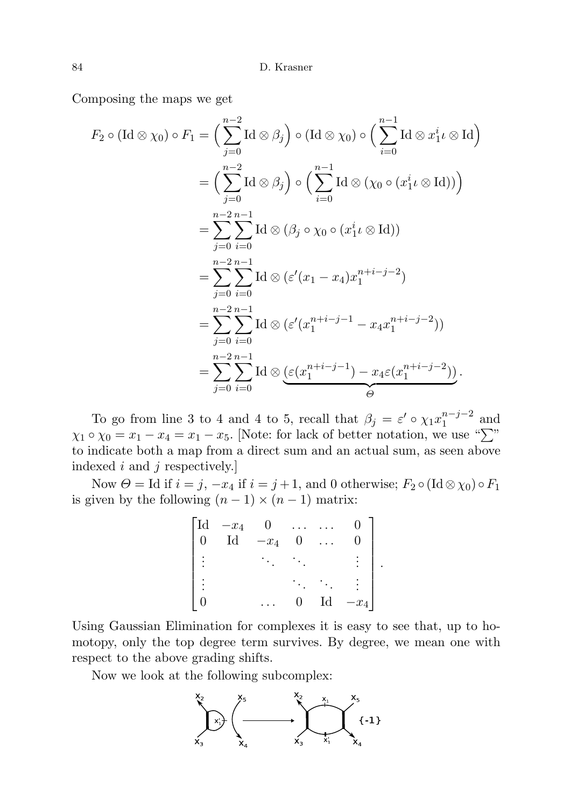Composing the maps we get

$$
F_2 \circ (\text{Id} \otimes \chi_0) \circ F_1 = \Big( \sum_{j=0}^{n-2} \text{Id} \otimes \beta_j \Big) \circ (\text{Id} \otimes \chi_0) \circ \Big( \sum_{i=0}^{n-1} \text{Id} \otimes x_1^i \iota \otimes \text{Id} \Big)
$$
  
=  $\Big( \sum_{j=0}^{n-2} \text{Id} \otimes \beta_j \Big) \circ \Big( \sum_{i=0}^{n-1} \text{Id} \otimes (\chi_0 \circ (x_1^i \iota \otimes \text{Id})) \Big)$   
=  $\sum_{j=0}^{n-2} \sum_{i=0}^{n-1} \text{Id} \otimes (\beta_j \circ \chi_0 \circ (x_1^i \iota \otimes \text{Id}))$   
=  $\sum_{j=0}^{n-2} \sum_{i=0}^{n-1} \text{Id} \otimes (\varepsilon'(x_1 - x_4)x_1^{n+i-j-2})$   
=  $\sum_{j=0}^{n-2} \sum_{i=0}^{n-1} \text{Id} \otimes (\varepsilon'(x_1^{n+i-j-1} - x_4x_1^{n+i-j-2}))$   
=  $\sum_{j=0}^{n-2} \sum_{i=0}^{n-1} \text{Id} \otimes (\varepsilon(x_1^{n+i-j-1} - x_4\varepsilon(x_1^{n+i-j-2})).$ 

To go from line 3 to 4 and 4 to 5, recall that  $\beta_j = \varepsilon' \circ \chi_1 x_1^{n-j-2}$  $_1^{n-j-2}$  and  $\chi_1 \circ \chi_0 = x_1 - x_4 = x_1 - x_5$ . [Note: for lack of better notation, we use " $\Sigma$ " to indicate both a map from a direct sum and an actual sum, as seen above indexed  $i$  and  $j$  respectively.]

Now  $\Theta =$  Id if  $i = j$ ,  $-x_4$  if  $i = j + 1$ , and 0 otherwise;  $F_2 \circ (\text{Id} \otimes \chi_0) \circ F_1$ is given by the following  $(n-1) \times (n-1)$  matrix:

|                | $\begin{bmatrix} \text{Id} & -x_4 \\ 0 & \text{Id} \end{bmatrix}$ | $\overline{0}$ |   |                            |        |
|----------------|-------------------------------------------------------------------|----------------|---|----------------------------|--------|
|                |                                                                   | $-x_4$         | 0 |                            |        |
| $\bullet$<br>٠ |                                                                   |                |   |                            |        |
| $\bullet$      |                                                                   |                |   |                            |        |
|                |                                                                   |                | 0 | $\mathop{\rm Id}\nolimits$ | $-x_4$ |

.

Using Gaussian Elimination for complexes it is easy to see that, up to homotopy, only the top degree term survives. By degree, we mean one with respect to the above grading shifts.

Now we look at the following subcomplex:

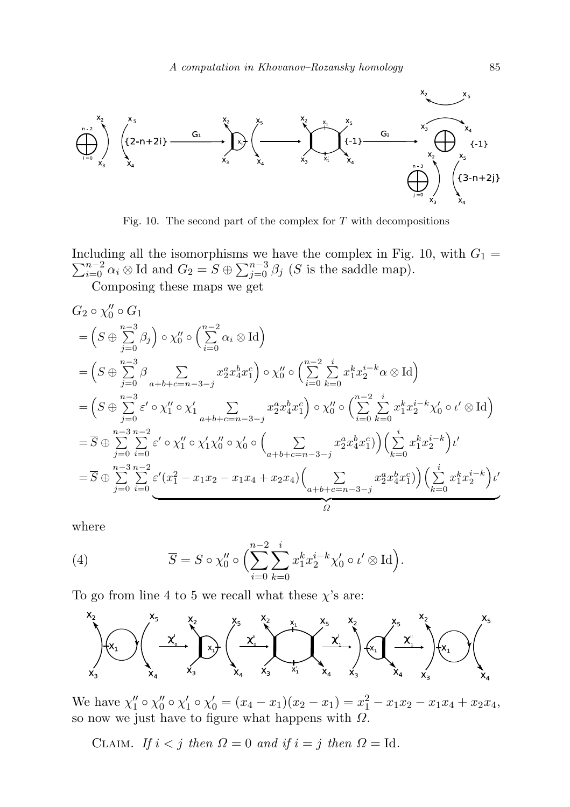

Fig. 10. The second part of the complex for  $T$  with decompositions

 $\sum$ Including all the isomorphisms we have the complex in Fig. 10, with  $G_1 = \sum_{i=0}^{n-2} \alpha_i \otimes \text{Id}$  and  $G_2 = S \oplus \sum_{j=0}^{n-3} \beta_j$  (S is the saddle map).

Composing these maps we get

$$
G_{2} \circ \chi_{0}'' \circ G_{1}
$$
\n
$$
= \left( S \oplus \sum_{j=0}^{n-3} \beta_{j} \right) \circ \chi_{0}'' \circ \left( \sum_{i=0}^{n-2} \alpha_{i} \otimes \mathrm{Id} \right)
$$
\n
$$
= \left( S \oplus \sum_{j=0}^{n-3} \beta \sum_{a+b+c=n-3-j} x_{2}^{a} x_{4}^{b} x_{1}^{c} \right) \circ \chi_{0}'' \circ \left( \sum_{i=0}^{n-2} \sum_{k=0}^{i} x_{1}^{k} x_{2}^{i-k} \alpha \otimes \mathrm{Id} \right)
$$
\n
$$
= \left( S \oplus \sum_{j=0}^{n-3} \varepsilon' \circ \chi_{1}'' \circ \chi_{1}' \sum_{a+b+c=n-3-j} x_{2}^{a} x_{4}^{b} x_{1}^{c} \right) \circ \chi_{0}'' \circ \left( \sum_{i=0}^{n-2} \sum_{k=0}^{i} x_{1}^{k} x_{2}^{i-k} \chi_{0}' \circ \iota' \otimes \mathrm{Id} \right)
$$
\n
$$
= \overline{S} \oplus \sum_{j=0}^{n-3} \sum_{i=0}^{n-2} \varepsilon' \circ \chi_{1}'' \circ \chi_{1}' \chi_{0}'' \circ \chi_{0}' \circ \left( \sum_{a+b+c=n-3-j} x_{2}^{a} x_{4}^{b} x_{1}^{c} \right) \left( \sum_{k=0}^{i} x_{1}^{k} x_{2}^{i-k} \right) \iota'
$$
\n
$$
= \overline{S} \oplus \sum_{j=0}^{n-3} \sum_{i=0}^{n-2} \varepsilon' (x_{1}^{2} - x_{1} x_{2} - x_{1} x_{4} + x_{2} x_{4}) \left( \sum_{a+b+c=n-3-j} x_{2}^{a} x_{4}^{b} x_{1}^{c} \right) \left( \sum_{k=0}^{i} x_{1}^{k} x_{2}^{i-k} \right) \iota'
$$

where

(4) 
$$
\overline{S} = S \circ \chi_0'' \circ \Biggl( \sum_{i=0}^{n-2} \sum_{k=0}^i x_1^k x_2^{i-k} \chi_0' \circ \iota' \otimes \mathrm{Id} \Biggr).
$$

To go from line 4 to 5 we recall what these  $\chi$ 's are:



We have  $\chi_1'' \circ \chi_0'' \circ \chi_1' \circ \chi_0' = (x_4 - x_1)(x_2 - x_1) = x_1^2 - x_1x_2 - x_1x_4 + x_2x_4$ so now we just have to figure what happens with  $\Omega$ .

CLAIM. If  $i < j$  then  $\Omega = 0$  and if  $i = j$  then  $\Omega = Id$ .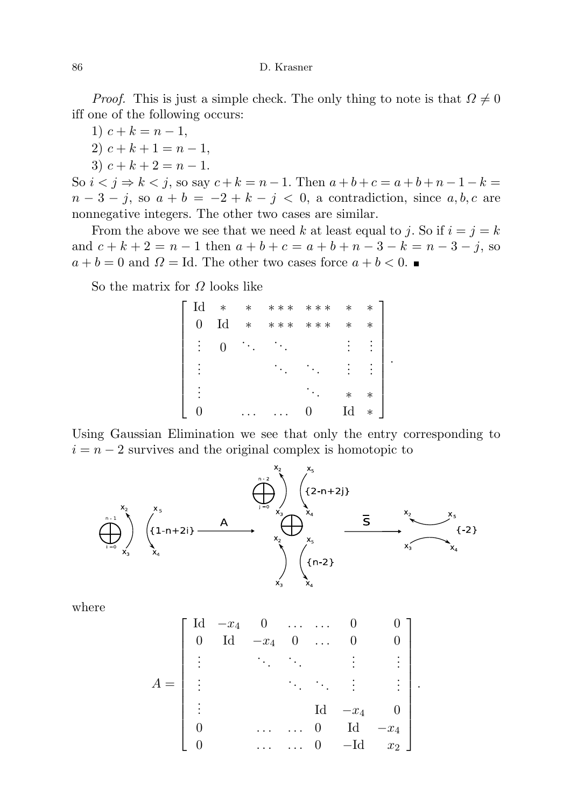*Proof.* This is just a simple check. The only thing to note is that  $\Omega \neq 0$ iff one of the following occurs:

- 1)  $c + k = n 1$ ,
- 2)  $c + k + 1 = n 1$ ,
- 3)  $c + k + 2 = n 1$ .

So  $i < j \Rightarrow k < j$ , so say  $c + k = n - 1$ . Then  $a + b + c = a + b + n - 1 - k =$  $n-3-j$ , so  $a+b=-2+k-j < 0$ , a contradiction, since  $a, b, c$  are nonnegative integers. The other two cases are similar.

From the above we see that we need k at least equal to j. So if  $i = j = k$ and  $c + k + 2 = n - 1$  then  $a + b + c = a + b + n - 3 - k = n - 3 - j$ , so  $a + b = 0$  and  $\Omega =$  Id. The other two cases force  $a + b < 0$ .

So the matrix for  $\Omega$  looks like



Using Gaussian Elimination we see that only the entry corresponding to  $i = n - 2$  survives and the original complex is homotopic to



where

$$
A = \begin{bmatrix} \mathrm{Id} & -x_4 & 0 & \dots & \dots & 0 & 0 \\ 0 & \mathrm{Id} & -x_4 & 0 & \dots & 0 & 0 \\ \vdots & \vdots & \ddots & \vdots & \vdots & \vdots \\ \vdots & \vdots & \ddots & \vdots & \vdots \\ 0 & \dots & \dots & 0 & \mathrm{Id} & -x_4 \\ 0 & \dots & \dots & 0 & -\mathrm{Id} & x_2 \end{bmatrix}
$$

.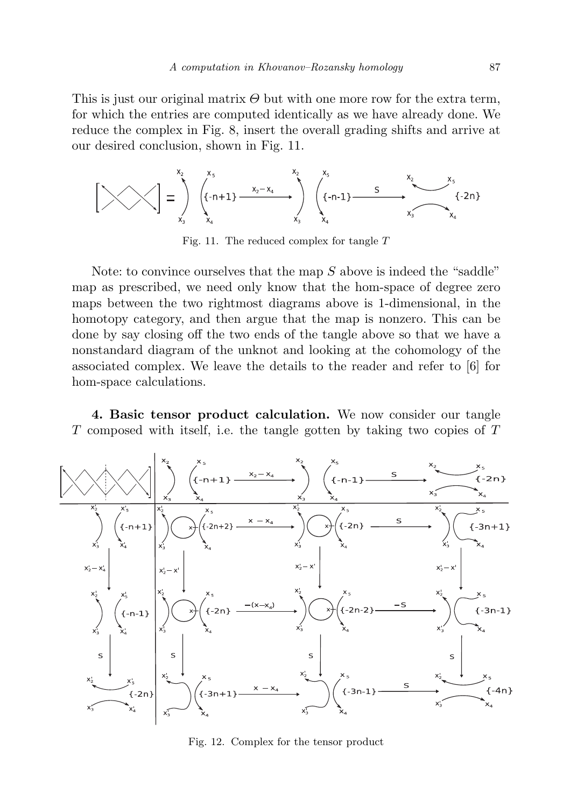This is just our original matrix  $\Theta$  but with one more row for the extra term, for which the entries are computed identically as we have already done. We reduce the complex in Fig. 8, insert the overall grading shifts and arrive at our desired conclusion, shown in Fig. 11.

$$
\left[\begin{matrix} x_2 \\ x_3 \end{matrix}\right] = \int_{x_3}^{x_5} \underbrace{\begin{matrix} x_5 \\ \{ -n+1 \} \end{matrix}}_{x_4} + \int_{x_3}^{x_2-x_4} \underbrace{\begin{matrix} x_5 \\ \{ -n-1 \} \end{matrix}}_{x_5} + \underbrace{\begin{matrix} x_2 \\ x_3 \end{matrix}}_{x_4} + \sum_{x_5}^{x_5} \underbrace{\begin{matrix} x_5 \\ \{ -2n \} \end{matrix}}_{x_6}
$$

Fig. 11. The reduced complex for tangle T

Note: to convince ourselves that the map  $S$  above is indeed the "saddle" map as prescribed, we need only know that the hom-space of degree zero maps between the two rightmost diagrams above is 1-dimensional, in the homotopy category, and then argue that the map is nonzero. This can be done by say closing off the two ends of the tangle above so that we have a nonstandard diagram of the unknot and looking at the cohomology of the associated complex. We leave the details to the reader and refer to [6] for hom-space calculations.

4. Basic tensor product calculation. We now consider our tangle T composed with itself, i.e. the tangle gotten by taking two copies of T



Fig. 12. Complex for the tensor product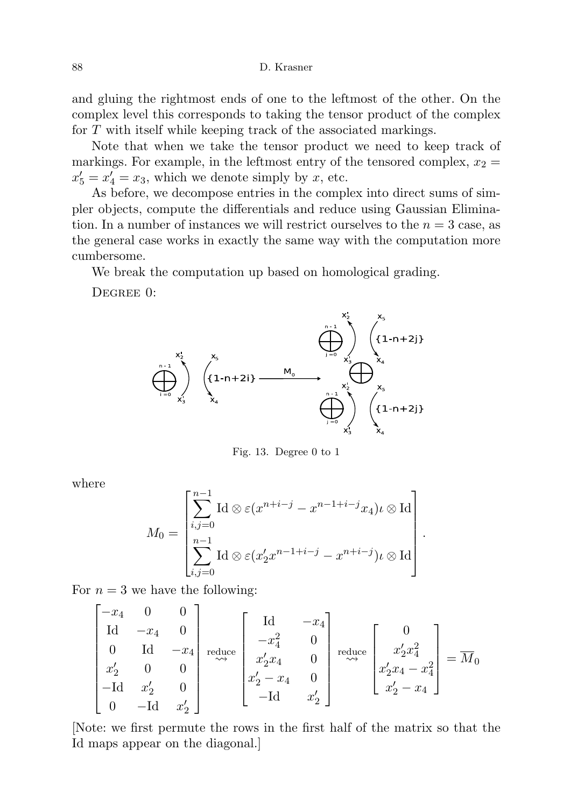and gluing the rightmost ends of one to the leftmost of the other. On the complex level this corresponds to taking the tensor product of the complex for T with itself while keeping track of the associated markings.

Note that when we take the tensor product we need to keep track of markings. For example, in the leftmost entry of the tensored complex,  $x_2 =$  $x'_5 = x'_4 = x_3$ , which we denote simply by x, etc.

As before, we decompose entries in the complex into direct sums of simpler objects, compute the differentials and reduce using Gaussian Elimination. In a number of instances we will restrict ourselves to the  $n = 3$  case, as the general case works in exactly the same way with the computation more cumbersome.

We break the computation up based on homological grading.

DEGREE 0:



Fig. 13. Degree 0 to 1

where

 $\mathbf{r}$ 

$$
M_0 = \begin{bmatrix} \sum_{i,j=0}^{n-1} \mathrm{Id} \otimes \varepsilon(x^{n+i-j} - x^{n-1+i-j} x_4) \iota \otimes \mathrm{Id} \\ \sum_{i,j=0}^{n-1} \mathrm{Id} \otimes \varepsilon(x_2' x^{n-1+i-j} - x^{n+i-j}) \iota \otimes \mathrm{Id} \end{bmatrix}.
$$

For  $n = 3$  we have the following:

$$
\begin{bmatrix} -x_4 & 0 & 0 \\ \mathrm{Id} & -x_4 & 0 \\ 0 & \mathrm{Id} & -x_4 \\ x'_2 & 0 & 0 \\ -\mathrm{Id} & x'_2 & 0 \\ 0 & -\mathrm{Id} & x'_2 \end{bmatrix} \xrightarrow[\text{reduce}]{\text{reduce}} \begin{bmatrix} \mathrm{Id} & -x_4 \\ -x_4^2 & 0 \\ x'_2x_4 & 0 \\ x'_2 - x_4 & 0 \\ -\mathrm{Id} & x'_2 \end{bmatrix} \xrightarrow[\text{reduce}]{\text{reduce}} \begin{bmatrix} 0 \\ x'_2x_4^2 \\ x'_2x_4 - x_4^2 \\ x'_2 - x_4 \end{bmatrix} = \overline{M}_0
$$

[Note: we first permute the rows in the first half of the matrix so that the Id maps appear on the diagonal.]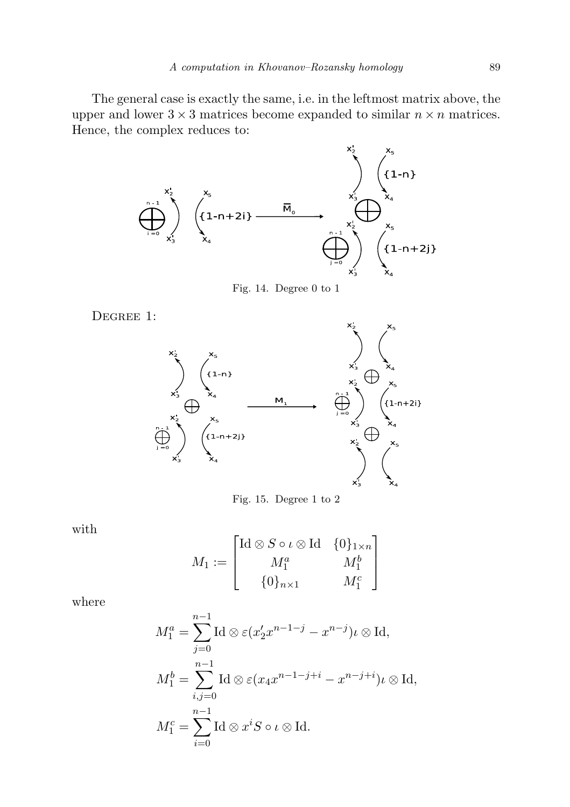The general case is exactly the same, i.e. in the leftmost matrix above, the upper and lower  $3 \times 3$  matrices become expanded to similar  $n \times n$  matrices. Hence, the complex reduces to:



Fig. 14. Degree 0 to 1

DEGREE 1:



Fig. 15. Degree 1 to 2

with

$$
M_1 := \begin{bmatrix} \mathrm{Id} \otimes S \circ \iota \otimes \mathrm{Id} & \{0\}_{1 \times n} \\ M_1^a & M_1^b \\ \{0\}_{n \times 1} & M_1^c \end{bmatrix}
$$

where

$$
M_1^a = \sum_{j=0}^{n-1} \mathrm{Id} \otimes \varepsilon (x_2' x^{n-1-j} - x^{n-j}) \iota \otimes \mathrm{Id},
$$
  
\n
$$
M_1^b = \sum_{i,j=0}^{n-1} \mathrm{Id} \otimes \varepsilon (x_4 x^{n-1-j+i} - x^{n-j+i}) \iota \otimes \mathrm{Id},
$$
  
\n
$$
M_1^c = \sum_{i=0}^{n-1} \mathrm{Id} \otimes x^i S \circ \iota \otimes \mathrm{Id}.
$$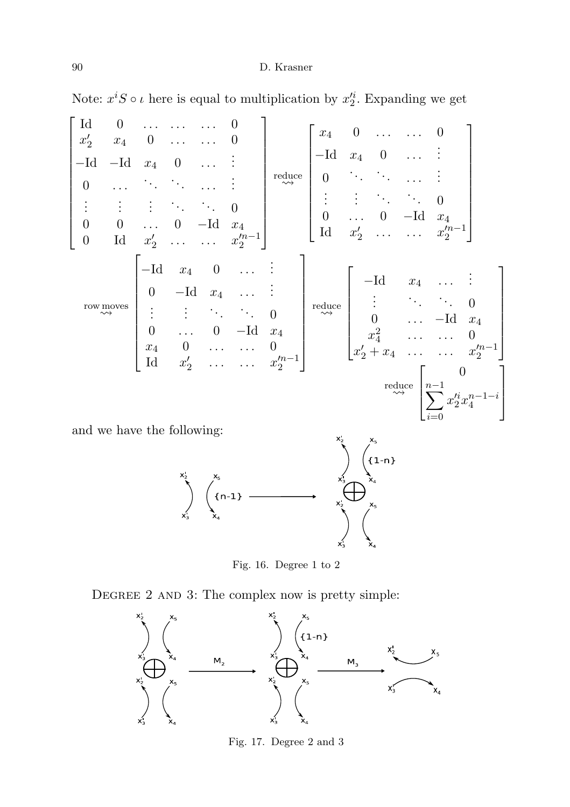Note:  $x^i S \circ \iota$  here is equal to multiplication by  $x_2'^i$ . Expanding we get



and we have the following:



Fig. 16. Degree 1 to 2

DEGREE 2 AND 3: The complex now is pretty simple:



Fig. 17. Degree 2 and 3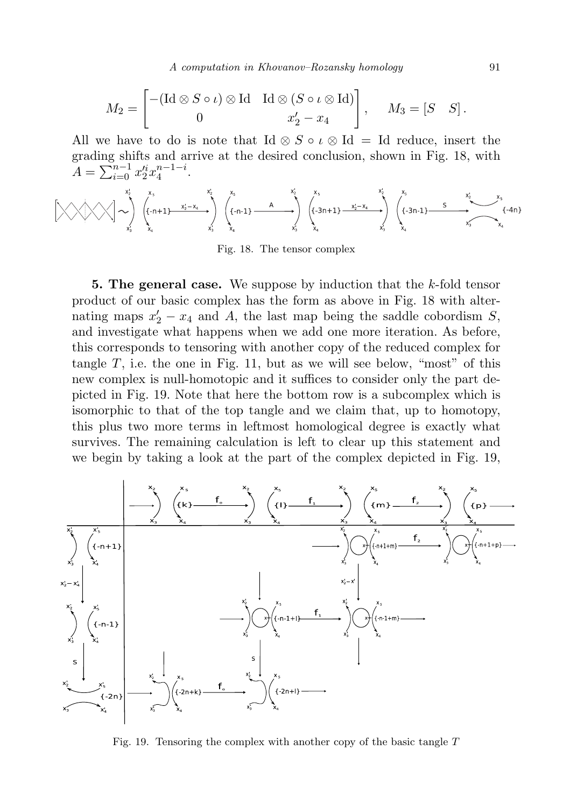A computation in Khovanov–Rozansky homology 91

$$
M_2 = \begin{bmatrix} -(\mathrm{Id} \otimes S \circ \iota) \otimes \mathrm{Id} & \mathrm{Id} \otimes (S \circ \iota \otimes \mathrm{Id}) \\ 0 & x_2' - x_4 \end{bmatrix}, \quad M_3 = [S \quad S].
$$

All we have to do is note that Id  $\otimes S \circ \iota \otimes Id = Id$  reduce, insert the grading shifts and arrive at the desired conclusion, shown in Fig. 18, with  $A = \sum_{i=0}^{n-1} x_2^{i} x_4^{n-1-i}.$ 

$$
\left[\begin{matrix} x_1 \\ x_2 \end{matrix}\right] \left(\begin{matrix} x_3 & x_2 \\ x_3 & x_4 \end{matrix}\right) \left(\begin{matrix} x_5 & x_2 \\ x_1 + 1 \end{matrix}\right) \left(\begin{matrix} x_5 & x_1 \\ x_2 - x_4 \end{matrix}\right) \left(\begin{matrix} x_5 & x_2 \\ x_1 - 1 \end{matrix}\right) \left(\begin{matrix} x_5 & x_2 \\ x_3 - x_4 \end{matrix}\right) \left(\begin{matrix} x_3 & x_2 \\ x_3 - x_4 \end{matrix}\right) \left(\begin{matrix} x_3 & x_2 \\ x_3 - x_4 \end{matrix}\right) \left(\begin{matrix} x_3 & x_4 \\ x_5 & x_5 \end{matrix}\right) \left(\begin{matrix} x_3 & x_4 \\ x_4 & x_5 \end{matrix}\right) \left(\begin{matrix} x_3 & x_4 \\ x_5 & x_5 \end{matrix}\right) \left(\begin{matrix} x_3 & x_4 \\ x_5 & x_5 \end{matrix}\right) \left(\begin{matrix} x_3 & x_4 \\ x_5 & x_5 \end{matrix}\right) \left(\begin{matrix} x_3 & x_4 \\ x_5 & x_5 \end{matrix}\right) \left(\begin{matrix} x_3 & x_4 \\ x_5 & x_5 \end{matrix}\right) \left(\begin{matrix} x_3 & x_4 \\ x_5 & x_5 \end{matrix}\right) \left(\begin{matrix} x_3 & x_4 \\ x_5 & x_5 \end{matrix}\right) \left(\begin{matrix} x_3 & x_4 \\ x_5 & x_5 \end{matrix}\right) \left(\begin{matrix} x_3 & x_4 \\ x_5 & x_5 \end{matrix}\right) \left(\begin{matrix} x_3 & x_4 \\ x_5 & x_5 \end{matrix}\right) \left(\begin{matrix} x_3 & x_4 \\ x_5 & x_5 \end{matrix}\right) \left(\begin{matrix} x_3 & x_4 \\ x_5 & x_5 \end{matrix}\right) \left(\begin{matrix} x_3 & x_4 \\ x_5 & x_5 \end{matrix}\right) \left(\begin{matrix} x_3 & x_4 \\ x_5 & x_5 \end{matrix}\right) \left(\begin{matrix} x_3 & x_4 \\ x_5 & x_5 \end{matrix}\right) \left(\begin{matrix} x_3 & x_4 \\ x_5 & x_5 \end{matrix}\right) \left(\begin{matrix} x_3 & x_4 \\ x
$$

Fig. 18. The tensor complex

**5. The general case.** We suppose by induction that the  $k$ -fold tensor product of our basic complex has the form as above in Fig. 18 with alternating maps  $x_2' - x_4$  and A, the last map being the saddle cobordism S, and investigate what happens when we add one more iteration. As before, this corresponds to tensoring with another copy of the reduced complex for tangle  $T$ , i.e. the one in Fig. 11, but as we will see below, "most" of this new complex is null-homotopic and it suffices to consider only the part depicted in Fig. 19. Note that here the bottom row is a subcomplex which is isomorphic to that of the top tangle and we claim that, up to homotopy, this plus two more terms in leftmost homological degree is exactly what survives. The remaining calculation is left to clear up this statement and we begin by taking a look at the part of the complex depicted in Fig. 19,



Fig. 19. Tensoring the complex with another copy of the basic tangle  $T$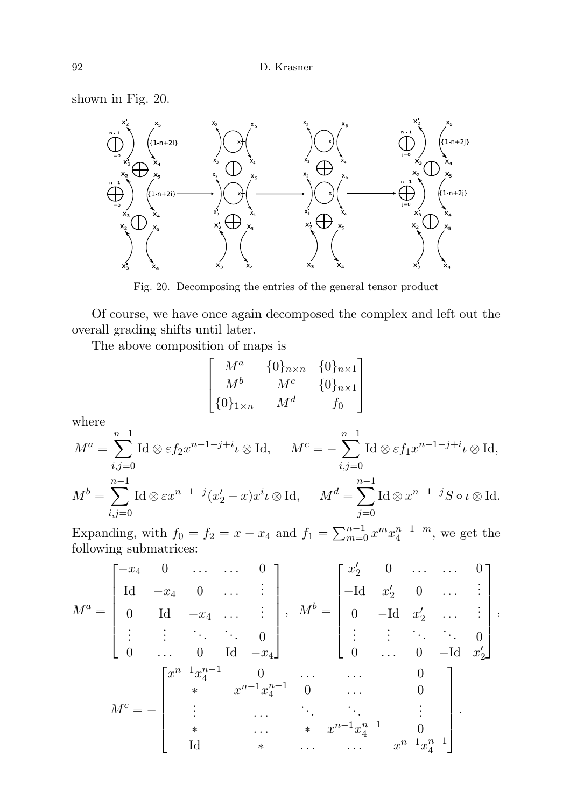shown in Fig. 20.



Fig. 20. Decomposing the entries of the general tensor product

Of course, we have once again decomposed the complex and left out the overall grading shifts until later.

The above composition of maps is

$$
\begin{bmatrix}\nM^a & \{0\}_{n \times n} & \{0\}_{n \times 1} \\
M^b & M^c & \{0\}_{n \times 1} \\
\{0\}_{1 \times n} & M^d & f_0\n\end{bmatrix}
$$

where

$$
M^{a} = \sum_{i,j=0}^{n-1} \operatorname{Id} \otimes \varepsilon f_{2} x^{n-1-j+i} \iota \otimes \operatorname{Id}, \qquad M^{c} = -\sum_{i,j=0}^{n-1} \operatorname{Id} \otimes \varepsilon f_{1} x^{n-1-j+i} \iota \otimes \operatorname{Id},
$$
  

$$
M^{b} = \sum_{i,j=0}^{n-1} \operatorname{Id} \otimes \varepsilon x^{n-1-j} (x'_{2} - x) x^{i} \iota \otimes \operatorname{Id}, \qquad M^{d} = \sum_{j=0}^{n-1} \operatorname{Id} \otimes x^{n-1-j} S \circ \iota \otimes \operatorname{Id}.
$$

Expanding, with  $f_0 = f_2 = x - x_4$  and  $f_1 = \sum_{m=0}^{n-1} x^m x_4^{n-1-m}$ , we get the following submatrices:

$$
M^{a} = \begin{bmatrix} -x_{4} & 0 & \dots & \dots & 0 \\ \mathrm{Id} & -x_{4} & 0 & \dots & \vdots \\ 0 & \mathrm{Id} & -x_{4} & \dots & \vdots \\ \vdots & \vdots & \ddots & \ddots & 0 \\ 0 & \dots & 0 & \mathrm{Id} & -x_{4} \end{bmatrix}, M^{b} = \begin{bmatrix} x'_{2} & 0 & \dots & \dots & 0 \\ -\mathrm{Id} & x'_{2} & 0 & \dots & \vdots \\ 0 & -\mathrm{Id} & x'_{2} & \dots & \vdots \\ \vdots & \vdots & \ddots & \ddots & 0 \\ 0 & \dots & 0 & -\mathrm{Id} & x'_{2} \end{bmatrix},
$$

$$
M^{c} = - \begin{bmatrix} x^{n-1}x_{4}^{n-1} & 0 & \dots & \dots & 0 \\ * & x^{n-1}x_{4}^{n-1} & 0 & \dots & 0 \\ \vdots & \vdots & \ddots & \vdots & \vdots \\ * & \dots & \vdots & \ddots & \vdots \\ * & \dots & \vdots & \ddots & \vdots \\ \mathrm{Id} & * & \dots & \dots & x^{n-1}x_{4}^{n-1} \end{bmatrix}.
$$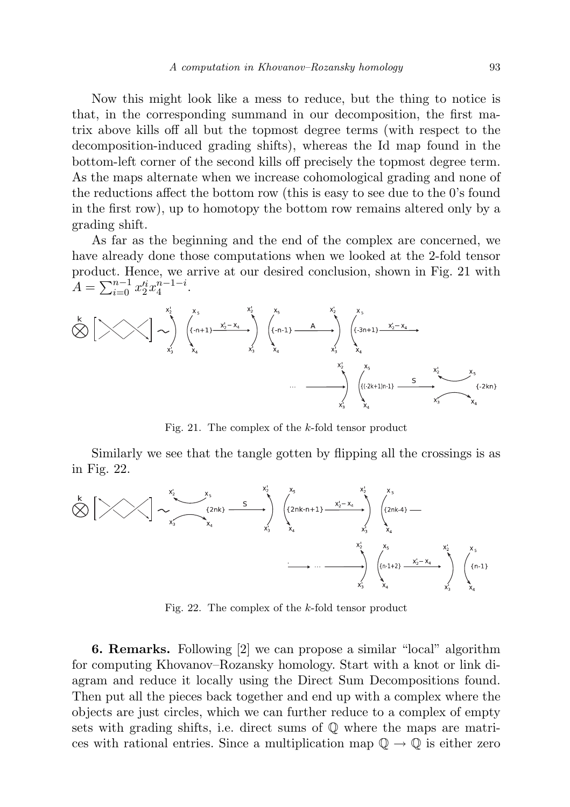Now this might look like a mess to reduce, but the thing to notice is that, in the corresponding summand in our decomposition, the first matrix above kills off all but the topmost degree terms (with respect to the decomposition-induced grading shifts), whereas the Id map found in the bottom-left corner of the second kills off precisely the topmost degree term. As the maps alternate when we increase cohomological grading and none of the reductions affect the bottom row (this is easy to see due to the 0's found in the first row), up to homotopy the bottom row remains altered only by a grading shift.

As far as the beginning and the end of the complex are concerned, we have already done those computations when we looked at the 2-fold tensor product. Hence, we arrive at our desired conclusion, shown in Fig. 21 with  $A = \sum_{i=0}^{n-1} x_2^{i} x_4^{n-1-i}.$ 



Fig. 21. The complex of the k-fold tensor product

Similarly we see that the tangle gotten by flipping all the crossings is as in Fig. 22.



Fig. 22. The complex of the k-fold tensor product

6. Remarks. Following [2] we can propose a similar "local" algorithm for computing Khovanov–Rozansky homology. Start with a knot or link diagram and reduce it locally using the Direct Sum Decompositions found. Then put all the pieces back together and end up with a complex where the objects are just circles, which we can further reduce to a complex of empty sets with grading shifts, i.e. direct sums of  $\mathbb Q$  where the maps are matrices with rational entries. Since a multiplication map  $\mathbb{Q} \to \mathbb{Q}$  is either zero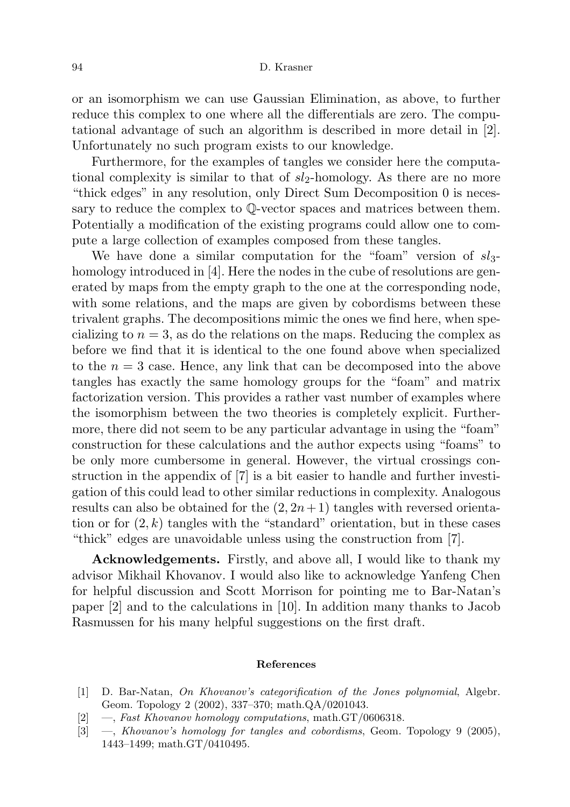or an isomorphism we can use Gaussian Elimination, as above, to further reduce this complex to one where all the differentials are zero. The computational advantage of such an algorithm is described in more detail in [2]. Unfortunately no such program exists to our knowledge.

Furthermore, for the examples of tangles we consider here the computational complexity is similar to that of  $sl_2$ -homology. As there are no more "thick edges" in any resolution, only Direct Sum Decomposition 0 is necessary to reduce the complex to Q-vector spaces and matrices between them. Potentially a modification of the existing programs could allow one to compute a large collection of examples composed from these tangles.

We have done a similar computation for the "foam" version of  $sl_3$ homology introduced in [4]. Here the nodes in the cube of resolutions are generated by maps from the empty graph to the one at the corresponding node, with some relations, and the maps are given by cobordisms between these trivalent graphs. The decompositions mimic the ones we find here, when specializing to  $n = 3$ , as do the relations on the maps. Reducing the complex as before we find that it is identical to the one found above when specialized to the  $n = 3$  case. Hence, any link that can be decomposed into the above tangles has exactly the same homology groups for the "foam" and matrix factorization version. This provides a rather vast number of examples where the isomorphism between the two theories is completely explicit. Furthermore, there did not seem to be any particular advantage in using the "foam" construction for these calculations and the author expects using "foams" to be only more cumbersome in general. However, the virtual crossings construction in the appendix of [7] is a bit easier to handle and further investigation of this could lead to other similar reductions in complexity. Analogous results can also be obtained for the  $(2, 2n+1)$  tangles with reversed orientation or for  $(2, k)$  tangles with the "standard" orientation, but in these cases "thick" edges are unavoidable unless using the construction from [7].

Acknowledgements. Firstly, and above all, I would like to thank my advisor Mikhail Khovanov. I would also like to acknowledge Yanfeng Chen for helpful discussion and Scott Morrison for pointing me to Bar-Natan's paper [2] and to the calculations in [10]. In addition many thanks to Jacob Rasmussen for his many helpful suggestions on the first draft.

### References

- [1] D. Bar-Natan, On Khovanov's categorification of the Jones polynomial, Algebr. Geom. Topology 2 (2002), 337–370; math.QA/0201043.
- [2] —, Fast Khovanov homology computations, math.GT/0606318.
- [3] —, Khovanov's homology for tangles and cobordisms, Geom. Topology 9 (2005), 1443–1499; math.GT/0410495.